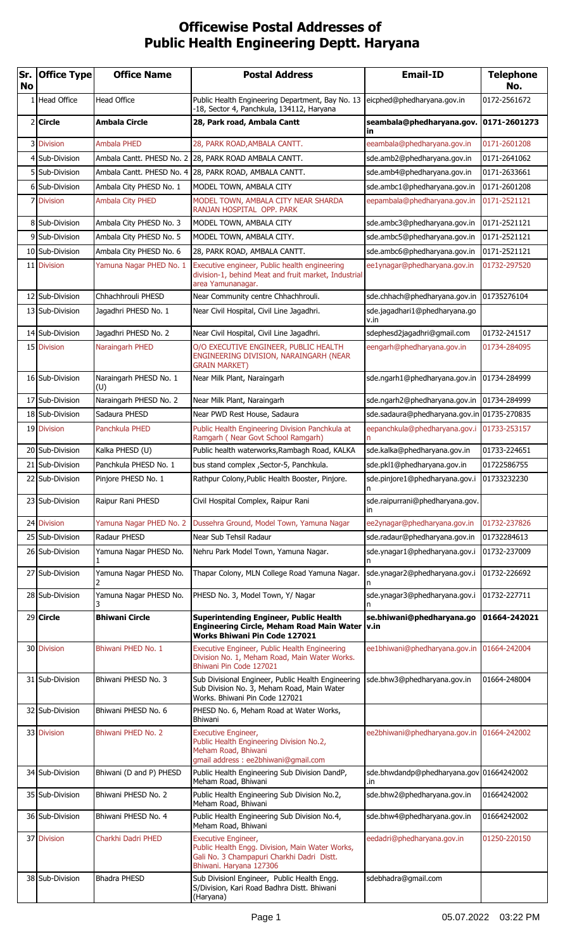## **Officewise Postal Addresses of Public Health Engineering Deptt. Haryana**

| Sr.<br>No | <b>Office Type</b>                 | <b>Office Name</b>            | <b>Postal Address</b>                                                                                                                           | <b>Email-ID</b>                             | <b>Telephone</b><br>No.    |
|-----------|------------------------------------|-------------------------------|-------------------------------------------------------------------------------------------------------------------------------------------------|---------------------------------------------|----------------------------|
| 1         | Head Office                        | <b>Head Office</b>            | Public Health Engineering Department, Bay No. 13<br>-18, Sector 4, Panchkula, 134112, Haryana                                                   | eicphed@phedharyana.gov.in                  | 0172-2561672               |
|           | 2 Circle                           | <b>Ambala Circle</b>          | 28, Park road, Ambala Cantt                                                                                                                     | seambala@phedharyana.gov.<br>in             | 0171-2601273               |
|           | 3 Division                         | <b>Ambala PHED</b>            | 28, PARK ROAD, AMBALA CANTT.                                                                                                                    | eeambala@phedharyana.gov.in                 | 0171-2601208               |
|           | 4 Sub-Division                     | Ambala Cantt. PHESD No. 2     | 28, PARK ROAD AMBALA CANTT.                                                                                                                     | sde.amb2@phedharyana.gov.in                 | 0171-2641062               |
|           | 5 Sub-Division                     | Ambala Cantt. PHESD No. 4     | 28, PARK ROAD, AMBALA CANTT.                                                                                                                    | sde.amb4@phedharyana.gov.in                 | 0171-2633661               |
|           | 6 Sub-Division                     | Ambala City PHESD No. 1       | MODEL TOWN, AMBALA CITY                                                                                                                         | sde.ambc1@phedharyana.gov.in                | 0171-2601208               |
|           | 7 Division                         | Ambala City PHED              | MODEL TOWN, AMBALA CITY NEAR SHARDA<br>RANJAN HOSPITAL OPP. PARK                                                                                | eepambala@phedharyana.gov.in                | 0171-2521121               |
|           | 8 Sub-Division                     | Ambala City PHESD No. 3       | MODEL TOWN, AMBALA CITY                                                                                                                         | sde.ambc3@phedharyana.gov.in                | 0171-2521121               |
|           | 9 Sub-Division                     | Ambala City PHESD No. 5       | MODEL TOWN, AMBALA CITY.                                                                                                                        | sde.ambc5@phedharyana.gov.in                | 0171-2521121               |
|           | 10 Sub-Division                    | Ambala City PHESD No. 6       | 28, PARK ROAD, AMBALA CANTT.                                                                                                                    | sde.ambc6@phedharyana.gov.in                | 0171-2521121               |
|           | 11 Division                        | Yamuna Nagar PHED No. 1       | Executive engineer, Public health engineering<br>division-1, behind Meat and fruit market, Industrial<br>area Yamunanagar.                      | ee1ynagar@phedharyana.gov.in                | 01732-297520               |
|           | 12 Sub-Division                    | Chhachhrouli PHESD            | Near Community centre Chhachhrouli.                                                                                                             | sde.chhach@phedharyana.gov.in               | 01735276104                |
|           | 13 Sub-Division                    | Jagadhri PHESD No. 1          | Near Civil Hospital, Civil Line Jagadhri.                                                                                                       | sde.jagadhari1@phedharyana.go<br>v.in       |                            |
|           | 14 Sub-Division                    | Jagadhri PHESD No. 2          | Near Civil Hospital, Civil Line Jagadhri.                                                                                                       | sdephesd2jagadhri@gmail.com                 | 01732-241517               |
|           | 15 Division                        | Naraingarh PHED               | O/O EXECUTIVE ENGINEER, PUBLIC HEALTH<br>ENGINEERING DIVISION, NARAINGARH (NEAR<br><b>GRAIN MARKET)</b>                                         | eengarh@phedharyana.gov.in                  | 01734-284095               |
|           | 16 Sub-Division                    | Naraingarh PHESD No. 1<br>(U) | Near Milk Plant, Naraingarh                                                                                                                     | sde.ngarh1@phedharyana.gov.in               | 01734-284999               |
|           | 17 Sub-Division                    | Naraingarh PHESD No. 2        | Near Milk Plant, Naraingarh                                                                                                                     | sde.ngarh2@phedharyana.gov.in               | 01734-284999               |
|           | 18 Sub-Division                    | Sadaura PHESD                 | Near PWD Rest House, Sadaura                                                                                                                    | sde.sadaura@phedharyana.gov.in 01735-270835 |                            |
|           | 19 Division                        | Panchkula PHED                | Public Health Engineering Division Panchkula at<br>Ramgarh (Near Govt School Ramgarh)                                                           | eepanchkula@phedharyana.gov.i<br>n          | 01733-253157               |
|           | 20 Sub-Division                    | Kalka PHESD (U)               | Public health waterworks, Rambagh Road, KALKA                                                                                                   | sde.kalka@phedharyana.gov.in                | 01733-224651               |
|           | 21 Sub-Division<br>22 Sub-Division | Panchkula PHESD No. 1         | bus stand complex , Sector-5, Panchkula.<br>Rathpur Colony, Public Health Booster, Pinjore.                                                     | sde.pkl1@phedharyana.gov.in                 | 01722586755<br>01733232230 |
|           |                                    | Pinjore PHESD No. 1           |                                                                                                                                                 | sde.pinjore1@phedharyana.gov.i<br>n         |                            |
|           | 23 Sub-Division                    | Raipur Rani PHESD             | Civil Hospital Complex, Raipur Rani                                                                                                             | sde.raipurrani@phedharyana.gov.<br>in.      |                            |
|           | 24 Division                        | Yamuna Nagar PHED No. 2       | Dussehra Ground, Model Town, Yamuna Nagar                                                                                                       | ee2ynagar@phedharyana.gov.in                | 01732-237826               |
|           | 25 Sub-Division                    | Radaur PHESD                  | Near Sub Tehsil Radaur                                                                                                                          | sde.radaur@phedharyana.gov.in               | 01732284613                |
|           | 26 Sub-Division                    | Yamuna Nagar PHESD No.        | Nehru Park Model Town, Yamuna Nagar.                                                                                                            | sde.ynagar1@phedharyana.gov.i<br>n          | 01732-237009               |
|           | 27 Sub-Division                    | Yamuna Nagar PHESD No.        | Thapar Colony, MLN College Road Yamuna Nagar.                                                                                                   | sde.ynagar2@phedharyana.gov.i               | 01732-226692               |
|           | 28 Sub-Division                    | Yamuna Nagar PHESD No.        | PHESD No. 3, Model Town, Y/ Nagar                                                                                                               | sde.ynagar3@phedharyana.gov.i               | 01732-227711               |
|           | 29 Circle                          | <b>Bhiwani Circle</b>         | <b>Superintending Engineer, Public Health</b><br>Engineering Circle, Meham Road Main Water   v.in<br><b>Works Bhiwani Pin Code 127021</b>       | se.bhiwani@phedharyana.go                   | 01664-242021               |
|           | 30 Division                        | Bhiwani PHED No. 1            | Executive Engineer, Public Health Engineering<br>Division No. 1, Meham Road, Main Water Works.<br>Bhiwani Pin Code 127021                       | ee1bhiwani@phedharyana.gov.in               | 01664-242004               |
|           | 31 Sub-Division                    | Bhiwani PHESD No. 3           | Sub Divisional Engineer, Public Health Engineering<br>Sub Division No. 3, Meham Road, Main Water<br>Works. Bhiwani Pin Code 127021              | sde.bhw3@phedharyana.gov.in                 | 01664-248004               |
|           | 32 Sub-Division                    | Bhiwani PHESD No. 6           | PHESD No. 6, Meham Road at Water Works,<br>Bhiwani                                                                                              |                                             |                            |
|           | 33 Division                        | Bhiwani PHED No. 2            | Executive Engineer,<br>Public Health Engineering Division No.2,<br>Meham Road, Bhiwani<br>gmail address: ee2bhiwani@gmail.com                   | ee2bhiwani@phedharyana.gov.in               | 01664-242002               |
|           | 34 Sub-Division                    | Bhiwani (D and P) PHESD       | Public Health Engineering Sub Division DandP,<br>Meham Road, Bhiwani                                                                            | sde.bhwdandp@phedharyana.gov<br>.in         | 01664242002                |
|           | 35 Sub-Division                    | Bhiwani PHESD No. 2           | Public Health Engineering Sub Division No.2,<br>Meham Road, Bhiwani                                                                             | sde.bhw2@phedharyana.gov.in                 | 01664242002                |
|           | 36 Sub-Division                    | Bhiwani PHESD No. 4           | Public Health Engineering Sub Division No.4,<br>Meham Road, Bhiwani                                                                             | sde.bhw4@phedharyana.gov.in                 | 01664242002                |
|           | 37 Division                        | Charkhi Dadri PHED            | Executive Engineer,<br>Public Health Engg. Division, Main Water Works,<br>Gali No. 3 Champapuri Charkhi Dadri Distt.<br>Bhiwani. Haryana 127306 | eedadri@phedharyana.gov.in                  | 01250-220150               |
|           | 38 Sub-Division                    | <b>Bhadra PHESD</b>           | Sub Divisionl Engineer, Public Health Engg.<br>S/Division, Kari Road Badhra Distt. Bhiwani<br>(Haryana)                                         | sdebhadra@gmail.com                         |                            |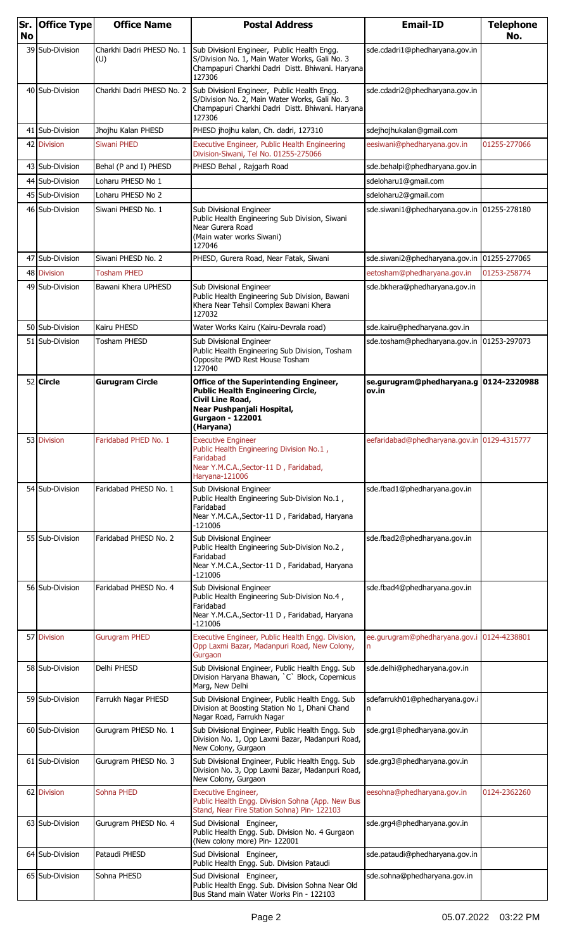| <b>No</b> | Sr. Office Type | <b>Office Name</b>               | <b>Postal Address</b>                                                                                                                                                        | <b>Email-ID</b>                                  | <b>Telephone</b><br>No. |
|-----------|-----------------|----------------------------------|------------------------------------------------------------------------------------------------------------------------------------------------------------------------------|--------------------------------------------------|-------------------------|
|           | 39 Sub-Division | Charkhi Dadri PHESD No. 1<br>(U) | Sub Divisionl Engineer, Public Health Engg.<br>S/Division No. 1, Main Water Works, Gali No. 3<br>Champapuri Charkhi Dadri Distt. Bhiwani. Haryana<br>127306                  | sde.cdadri1@phedharyana.gov.in                   |                         |
|           | 40 Sub-Division | Charkhi Dadri PHESD No. 2        | Sub Divisionl Engineer, Public Health Engg.<br>S/Division No. 2, Main Water Works, Gali No. 3<br>Champapuri Charkhi Dadri Distt. Bhiwani. Haryana<br>127306                  | sde.cdadri2@phedharyana.gov.in                   |                         |
|           | 41 Sub-Division | Jhojhu Kalan PHESD               | PHESD jhojhu kalan, Ch. dadri, 127310                                                                                                                                        | sdejhojhukalan@gmail.com                         |                         |
|           | 42 Division     | <b>Siwani PHED</b>               | Executive Engineer, Public Health Engineering<br>Division-Siwani, Tel No. 01255-275066                                                                                       | eesiwani@phedharyana.gov.in                      | 01255-277066            |
|           | 43 Sub-Division | Behal (P and I) PHESD            | PHESD Behal, Rajgarh Road                                                                                                                                                    | sde.behalpi@phedharyana.gov.in                   |                         |
|           | 44 Sub-Division | Loharu PHESD No 1                |                                                                                                                                                                              | sdeloharu1@gmail.com                             |                         |
|           | 45 Sub-Division | Loharu PHESD No 2                |                                                                                                                                                                              | sdeloharu2@gmail.com                             |                         |
|           | 46 Sub-Division | Siwani PHESD No. 1               | Sub Divisional Engineer<br>Public Health Engineering Sub Division, Siwani<br>Near Gurera Road<br>(Main water works Siwani)<br>127046                                         | sde.siwani1@phedharyana.gov.in 01255-278180      |                         |
|           | Sub-Division    | Siwani PHESD No. 2               | PHESD, Gurera Road, Near Fatak, Siwani                                                                                                                                       | sde.siwani2@phedharyana.gov.in                   | 01255-277065            |
|           | 48 Division     | <b>Tosham PHED</b>               |                                                                                                                                                                              | eetosham@phedharyana.gov.in                      | 01253-258774            |
|           | 49 Sub-Division | Bawani Khera UPHESD              | Sub Divisional Engineer<br>Public Health Engineering Sub Division, Bawani<br>Khera Near Tehsil Complex Bawani Khera<br>127032                                                | sde.bkhera@phedharyana.gov.in                    |                         |
|           | 50 Sub-Division | Kairu PHESD                      | Water Works Kairu (Kairu-Devrala road)                                                                                                                                       | sde.kairu@phedharyana.gov.in                     |                         |
|           | 51 Sub-Division | <b>Tosham PHESD</b>              | Sub Divisional Engineer<br>Public Health Engineering Sub Division, Tosham<br>Opposite PWD Rest House Tosham<br>127040                                                        | sde.tosham@phedharyana.gov.in   01253-297073     |                         |
|           | 52 Circle       | <b>Gurugram Circle</b>           | Office of the Superintending Engineer,<br><b>Public Health Engineering Circle,</b><br>Civil Line Road,<br>Near Pushpanjali Hospital,<br><b>Gurgaon - 122001</b><br>(Haryana) | se.gurugram@phedharyana.g  0124-2320988<br>ov.in |                         |
|           | 53 Division     | Faridabad PHED No. 1             | <b>Executive Engineer</b><br>Public Health Engineering Division No.1,<br>Faridabad<br>Near Y.M.C.A., Sector-11 D, Faridabad,<br>Haryana-121006                               | eefaridabad@phedharyana.gov.in 0129-4315777      |                         |
|           | 54 Sub-Division | Faridabad PHESD No. 1            | Sub Divisional Engineer<br>Public Health Engineering Sub-Division No.1,<br>Faridabad<br>Near Y.M.C.A., Sector-11 D, Faridabad, Haryana<br>$-121006$                          | sde.fbad1@phedharyana.gov.in                     |                         |
|           | 55 Sub-Division | Faridabad PHESD No. 2            | Sub Divisional Engineer<br>Public Health Engineering Sub-Division No.2,<br>Faridabad<br>Near Y.M.C.A., Sector-11 D, Faridabad, Haryana<br>-121006                            | sde.fbad2@phedharyana.gov.in                     |                         |
|           | 56 Sub-Division | Faridabad PHESD No. 4            | Sub Divisional Engineer<br>Public Health Engineering Sub-Division No.4,<br>Faridabad<br>Near Y.M.C.A., Sector-11 D, Faridabad, Haryana<br>$-121006$                          | sde.fbad4@phedharyana.gov.in                     |                         |
|           | 57 Division     | <b>Gurugram PHED</b>             | Executive Engineer, Public Health Engg. Division,<br>Opp Laxmi Bazar, Madanpuri Road, New Colony,<br>Gurgaon                                                                 | ee.gurugram@phedharyana.gov.i 0124-4238801<br>n  |                         |
|           | 58 Sub-Division | Delhi PHESD                      | Sub Divisional Engineer, Public Health Engg. Sub<br>Division Haryana Bhawan, `C` Block, Copernicus<br>Marg, New Delhi                                                        | sde.delhi@phedharyana.gov.in                     |                         |
|           | 59 Sub-Division | Farrukh Nagar PHESD              | Sub Divisional Engineer, Public Health Engg. Sub<br>Division at Boosting Station No 1, Dhani Chand<br>Nagar Road, Farrukh Nagar                                              | sdefarrukh01@phedharyana.gov.i<br>n              |                         |
|           | 60 Sub-Division | Gurugram PHESD No. 1             | Sub Divisional Engineer, Public Health Engg. Sub<br>Division No. 1, Opp Laxmi Bazar, Madanpuri Road,<br>New Colony, Gurgaon                                                  | sde.grg1@phedharyana.gov.in                      |                         |
|           | 61 Sub-Division | Gurugram PHESD No. 3             | Sub Divisional Engineer, Public Health Engg. Sub<br>Division No. 3, Opp Laxmi Bazar, Madanpuri Road,<br>New Colony, Gurgaon                                                  | sde.grg3@phedharyana.gov.in                      |                         |
|           | 62 Division     | Sohna PHED                       | Executive Engineer,<br>Public Health Engg. Division Sohna (App. New Bus<br>Stand, Near Fire Station Sohna) Pin- 122103                                                       | eesohna@phedharyana.gov.in                       | 0124-2362260            |
|           | 63 Sub-Division | Gurugram PHESD No. 4             | Sud Divisional Engineer,<br>Public Health Engg. Sub. Division No. 4 Gurgaon<br>(New colony more) Pin- 122001                                                                 | sde.grg4@phedharyana.gov.in                      |                         |
|           | 64 Sub-Division | Pataudi PHESD                    | Sud Divisional Engineer,<br>Public Health Engg. Sub. Division Pataudi                                                                                                        | sde.pataudi@phedharyana.gov.in                   |                         |
|           | 65 Sub-Division | Sohna PHESD                      | Sud Divisional Engineer,<br>Public Health Engg. Sub. Division Sohna Near Old<br>Bus Stand main Water Works Pin - 122103                                                      | sde.sohna@phedharyana.gov.in                     |                         |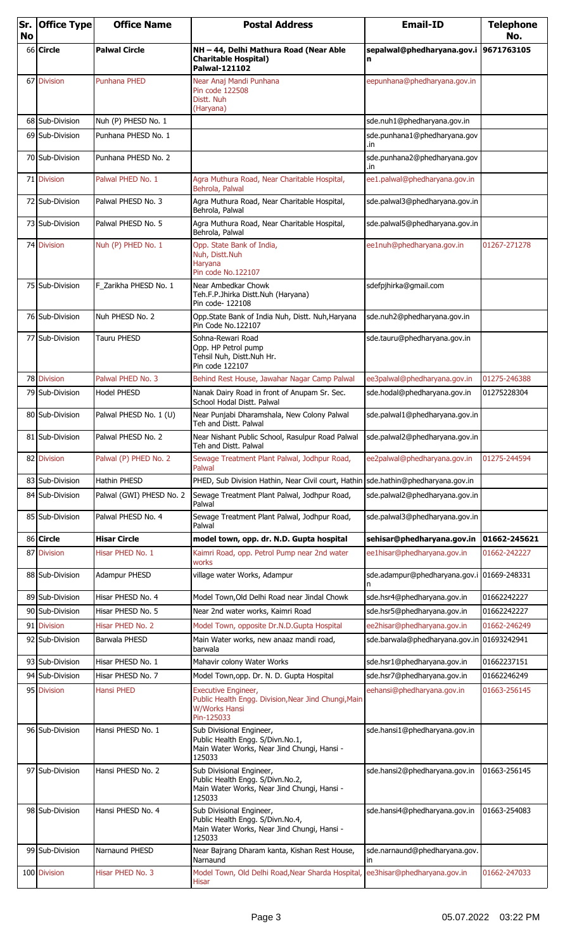| <b>No</b> | Sr. Office Type | <b>Office Name</b>       | <b>Postal Address</b>                                                                                                 | <b>Email-ID</b>                            | <b>Telephone</b><br>No. |
|-----------|-----------------|--------------------------|-----------------------------------------------------------------------------------------------------------------------|--------------------------------------------|-------------------------|
|           | 66 Circle       | <b>Palwal Circle</b>     | NH - 44, Delhi Mathura Road (Near Able<br><b>Charitable Hospital)</b><br>Palwal-121102                                | sepalwal@phedharyana.gov.i                 | 9671763105              |
|           | 67 Division     | <b>Punhana PHED</b>      | Near Anaj Mandi Punhana<br>Pin code 122508<br>Distt. Nuh<br>(Haryana)                                                 | eepunhana@phedharyana.gov.in               |                         |
|           | 68 Sub-Division | Nuh (P) PHESD No. 1      |                                                                                                                       | sde.nuh1@phedharyana.gov.in                |                         |
|           | 69 Sub-Division | Punhana PHESD No. 1      |                                                                                                                       | sde.punhana1@phedharyana.gov               |                         |
|           | 70 Sub-Division | Punhana PHESD No. 2      |                                                                                                                       | .in<br>sde.punhana2@phedharyana.gov<br>.in |                         |
|           | 71 Division     | Palwal PHED No. 1        | Agra Muthura Road, Near Charitable Hospital,<br>Behrola, Palwal                                                       | ee1.palwal@phedharyana.gov.in              |                         |
|           | 72 Sub-Division | Palwal PHESD No. 3       | Agra Muthura Road, Near Charitable Hospital,<br>Behrola, Palwal                                                       | sde.palwal3@phedharyana.gov.in             |                         |
|           | 73 Sub-Division | Palwal PHESD No. 5       | Agra Muthura Road, Near Charitable Hospital,<br>Behrola, Palwal                                                       | sde.palwal5@phedharyana.gov.in             |                         |
|           | 74 Division     | Nuh (P) PHED No. 1       | Opp. State Bank of India,<br>Nuh, Distt.Nuh<br>Haryana<br>Pin code No.122107                                          | ee1nuh@phedharyana.gov.in                  | 01267-271278            |
|           | 75 Sub-Division | F_Zarikha PHESD No. 1    | Near Ambedkar Chowk<br>Teh.F.P.Jhirka Distt.Nuh (Haryana)<br>Pin code- 122108                                         | sdefpjhirka@gmail.com                      |                         |
|           | 76 Sub-Division | Nuh PHESD No. 2          | Opp.State Bank of India Nuh, Distt. Nuh, Haryana<br>Pin Code No.122107                                                | sde.nuh2@phedharyana.gov.in                |                         |
|           | 77 Sub-Division | Tauru PHESD              | Sohna-Rewari Road<br>Opp. HP Petrol pump<br>Tehsil Nuh, Distt.Nuh Hr.<br>Pin code 122107                              | sde.tauru@phedharyana.gov.in               |                         |
|           | 78 Division     | Palwal PHED No. 3        | Behind Rest House, Jawahar Nagar Camp Palwal                                                                          | ee3palwal@phedharyana.gov.in               | 01275-246388            |
|           | 79 Sub-Division | <b>Hodel PHESD</b>       | Nanak Dairy Road in front of Anupam Sr. Sec.<br>School Hodal Distt, Palwal                                            | sde.hodal@phedharyana.gov.in               | 01275228304             |
|           | 80 Sub-Division | Palwal PHESD No. 1 (U)   | Near Punjabi Dharamshala, New Colony Palwal<br>Teh and Distt. Palwal                                                  | sde.palwal1@phedharyana.gov.in             |                         |
|           | 81 Sub-Division | Palwal PHESD No. 2       | Near Nishant Public School, Rasulpur Road Palwal<br>Teh and Distt, Palwal                                             | sde.palwal2@phedharyana.gov.in             |                         |
|           | 82 Division     | Palwal (P) PHED No. 2    | Sewage Treatment Plant Palwal, Jodhpur Road,<br>Palwal                                                                | ee2palwal@phedharyana.gov.in               | 01275-244594            |
|           | 83 Sub-Division | <b>Hathin PHESD</b>      | PHED, Sub Division Hathin, Near Civil court, Hathin sde.hathin@phedharyana.gov.in                                     |                                            |                         |
|           | 84 Sub-Division | Palwal (GWI) PHESD No. 2 | Sewage Treatment Plant Palwal, Jodhpur Road,<br>Palwal                                                                | sde.palwal2@phedharyana.gov.in             |                         |
|           | 85 Sub-Division | Palwal PHESD No. 4       | Sewage Treatment Plant Palwal, Jodhpur Road,<br>Palwal                                                                | sde.palwal3@phedharyana.gov.in             |                         |
|           | 86 Circle       | <b>Hisar Circle</b>      | model town, opp. dr. N.D. Gupta hospital                                                                              | sehisar@phedharyana.gov.in                 | 01662-245621            |
| 87        | <b>Division</b> | Hisar PHED No. 1         | Kaimri Road, opp. Petrol Pump near 2nd water<br>works                                                                 | ee1hisar@phedharyana.gov.in                | 01662-242227            |
|           | 88 Sub-Division | Adampur PHESD            | village water Works, Adampur                                                                                          | sde.adampur@phedharyana.gov.i 01669-248331 |                         |
|           | 89 Sub-Division | Hisar PHESD No. 4        | Model Town, Old Delhi Road near Jindal Chowk                                                                          | sde.hsr4@phedharyana.gov.in                | 01662242227             |
|           | 90 Sub-Division | Hisar PHESD No. 5        | Near 2nd water works, Kaimri Road                                                                                     | sde.hsr5@phedharyana.gov.in                | 01662242227             |
| 91        | <b>Division</b> | Hisar PHED No. 2         | Model Town, opposite Dr.N.D.Gupta Hospital                                                                            | ee2hisar@phedharyana.gov.in                | 01662-246249            |
|           | 92 Sub-Division | Barwala PHESD            | Main Water works, new anaaz mandi road,<br>barwala                                                                    | sde.barwala@phedharyana.gov.in 01693242941 |                         |
|           | 93 Sub-Division | Hisar PHESD No. 1        | Mahavir colony Water Works                                                                                            | sde.hsr1@phedharyana.gov.in                | 01662237151             |
|           | 94 Sub-Division | Hisar PHESD No. 7        | Model Town, opp. Dr. N. D. Gupta Hospital                                                                             | sde.hsr7@phedharyana.gov.in                | 01662246249             |
|           | 95 Division     | <b>Hansi PHED</b>        | Executive Engineer,<br>Public Health Engg. Division, Near Jind Chungi, Main<br><b>W/Works Hansi</b><br>Pin-125033     | eehansi@phedharyana.gov.in                 | 01663-256145            |
|           | 96 Sub-Division | Hansi PHESD No. 1        | Sub Divisional Engineer,<br>Public Health Engg. S/Divn.No.1,<br>Main Water Works, Near Jind Chungi, Hansi -<br>125033 | sde.hansi1@phedharyana.gov.in              |                         |
|           | 97 Sub-Division | Hansi PHESD No. 2        | Sub Divisional Engineer,<br>Public Health Engg. S/Divn.No.2,<br>Main Water Works, Near Jind Chungi, Hansi -<br>125033 | sde.hansi2@phedharyana.gov.in              | 01663-256145            |
|           | 98 Sub-Division | Hansi PHESD No. 4        | Sub Divisional Engineer,<br>Public Health Engg. S/Divn.No.4,<br>Main Water Works, Near Jind Chungi, Hansi -<br>125033 | sde.hansi4@phedharyana.gov.in              | 01663-254083            |
|           | 99 Sub-Division | Narnaund PHESD           | Near Bajrang Dharam kanta, Kishan Rest House,<br>Narnaund                                                             | sde.narnaund@phedharyana.gov.<br>in        |                         |
|           | 100 Division    | Hisar PHED No. 3         | Model Town, Old Delhi Road, Near Sharda Hospital, ee3hisar@phedharyana.gov.in<br><b>Hisar</b>                         |                                            | 01662-247033            |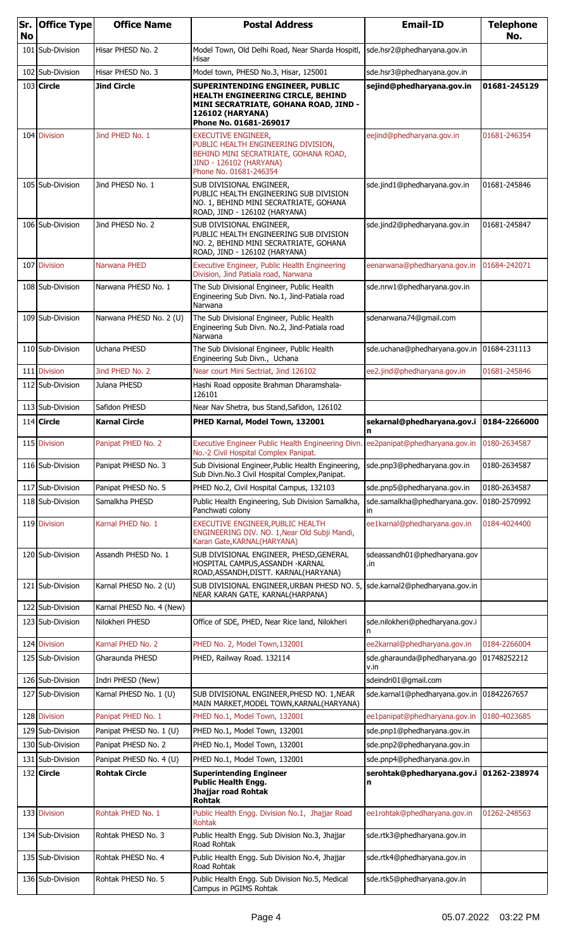| Sr.<br><b>No</b> | <b>Office Type</b>                   | <b>Office Name</b>                             | <b>Postal Address</b>                                                                                                                                              | <b>Email-ID</b>                                            | <b>Telephone</b><br>No. |
|------------------|--------------------------------------|------------------------------------------------|--------------------------------------------------------------------------------------------------------------------------------------------------------------------|------------------------------------------------------------|-------------------------|
|                  | 101 Sub-Division                     | Hisar PHESD No. 2                              | Model Town, Old Delhi Road, Near Sharda Hospitl,<br>Hisar                                                                                                          | sde.hsr2@phedharyana.gov.in                                |                         |
|                  | 102 Sub-Division                     | Hisar PHESD No. 3                              | Model town, PHESD No.3, Hisar, 125001                                                                                                                              | sde.hsr3@phedharyana.gov.in                                |                         |
|                  | $103$ Circle                         | Jind Circle                                    | SUPERINTENDING ENGINEER, PUBLIC<br>HEALTH ENGINEERING CIRCLE, BEHIND<br>MINI SECRATRIATE, GOHANA ROAD, JIND -<br><b>126102 (HARYANA)</b><br>Phone No. 01681-269017 | sejind@phedharyana.gov.in                                  | 01681-245129            |
|                  | 104 Division                         | Jind PHED No. 1                                | <b>EXECUTIVE ENGINEER,</b><br>PUBLIC HEALTH ENGINEERING DIVISION,<br>BEHIND MINI SECRATRIATE, GOHANA ROAD,<br>JIND - 126102 (HARYANA)<br>Phone No. 01681-246354    | eejind@phedharyana.gov.in                                  | 01681-246354            |
|                  | 105 Sub-Division                     | Jind PHESD No. 1                               | SUB DIVISIONAL ENGINEER,<br>PUBLIC HEALTH ENGINEERING SUB DIVISION<br>NO. 1, BEHIND MINI SECRATRIATE, GOHANA<br>ROAD, JIND - 126102 (HARYANA)                      | sde.jind1@phedharyana.gov.in                               | 01681-245846            |
|                  | 106 Sub-Division                     | Jind PHESD No. 2                               | SUB DIVISIONAL ENGINEER,<br>PUBLIC HEALTH ENGINEERING SUB DIVISION<br>NO. 2, BEHIND MINI SECRATRIATE, GOHANA<br>ROAD, JIND - 126102 (HARYANA)                      | sde.jind2@phedharyana.gov.in                               | 01681-245847            |
| 107              | <b>Division</b>                      | Narwana PHED                                   | Executive Engineer, Public Health Engineering<br>Division, Jind Patiala road, Narwana                                                                              | eenarwana@phedharyana.gov.in                               | 01684-242071            |
|                  | 108 Sub-Division                     | Narwana PHESD No. 1                            | The Sub Divisional Engineer, Public Health<br>Engineering Sub Divn. No.1, Jind-Patiala road<br>Narwana                                                             | sde.nrw1@phedharyana.gov.in                                |                         |
|                  | 109 Sub-Division                     | Narwana PHESD No. 2 (U)                        | The Sub Divisional Engineer, Public Health<br>Engineering Sub Divn. No.2, Jind-Patiala road<br>Narwana                                                             | sdenarwana74@gmail.com                                     |                         |
|                  | 110 Sub-Division                     | Uchana PHESD                                   | The Sub Divisional Engineer, Public Health<br>Engineering Sub Divn., Uchana                                                                                        | sde.uchana@phedharyana.gov.in                              | 01684-231113            |
|                  | 111 Division                         | Jind PHED No. 2                                | Near court Mini Sectriat, Jind 126102                                                                                                                              | ee2.jind@phedharyana.gov.in                                | 01681-245846            |
|                  | 112 Sub-Division                     | Julana PHESD                                   | Hashi Road opposite Brahman Dharamshala-<br>126101                                                                                                                 |                                                            |                         |
|                  | 113 Sub-Division                     | Safidon PHESD                                  | Near Nav Shetra, bus Stand, Safidon, 126102                                                                                                                        |                                                            |                         |
|                  | $114$ Circle                         | <b>Karnal Circle</b>                           | PHED Karnal, Model Town, 132001                                                                                                                                    | sekarnal@phedharyana.gov.i<br>n                            | 0184-2266000            |
|                  | 115 Division                         | Panipat PHED No. 2                             | Executive Engineer Public Health Engineering Divn. ee2panipat@phedharyana.gov.in 0180-2634587<br>No.-2 Civil Hospital Complex Panipat.                             |                                                            |                         |
|                  | 116 Sub-Division                     | Panipat PHESD No. 3                            | Sub Divisional Engineer, Public Health Engineering,<br>Sub Divn.No.3 Civil Hospital Complex, Panipat.                                                              | sde.pnp3@phedharyana.gov.in                                | 0180-2634587            |
| 117              | <b>Sub-Division</b>                  | Panipat PHESD No. 5                            | PHED No.2, Civil Hospital Campus, 132103                                                                                                                           | sde.pnp5@phedharyana.gov.in                                | 0180-2634587            |
|                  | 118 Sub-Division                     | Samalkha PHESD                                 | Public Health Engineering, Sub Division Samalkha,<br>Panchwati colony                                                                                              | sde.samalkha@phedharyana.gov.<br>in.                       | 0180-2570992            |
|                  | 119 Division                         | Karnal PHED No. 1                              | EXECUTIVE ENGINEER, PUBLIC HEALTH<br>ENGINEERING DIV. NO. 1, Near Old Subji Mandi,<br>Karan Gate, KARNAL (HARYANA)                                                 | ee1karnal@phedharyana.gov.in                               | 0184-4024400            |
|                  | 120 Sub-Division                     | Assandh PHESD No. 1                            | SUB DIVISIONAL ENGINEER, PHESD, GENERAL<br>HOSPITAL CAMPUS, ASSANDH - KARNAL<br>ROAD, ASSANDH, DISTT. KARNAL (HARYANA)                                             | sdeassandh01@phedharyana.gov<br>.in                        |                         |
|                  | 121 Sub-Division                     | Karnal PHESD No. 2 (U)                         | SUB DIVISIONAL ENGINEER, URBAN PHESD NO. 5<br>NEAR KARAN GATE, KARNAL(HARPANA)                                                                                     | sde.karnal2@phedharyana.gov.in                             |                         |
| 122              | Sub-Division                         | Karnal PHESD No. 4 (New)                       |                                                                                                                                                                    |                                                            |                         |
|                  | 123 Sub-Division                     | Nilokheri PHESD                                | Office of SDE, PHED, Near Rice land, Nilokheri                                                                                                                     | sde.nilokheri@phedharyana.gov.i                            |                         |
|                  | 124 Division                         | Karnal PHED No. 2                              | PHED No. 2, Model Town, 132001                                                                                                                                     | ee2karnal@phedharyana.gov.in                               | 0184-2266004            |
|                  | 125 Sub-Division                     | Gharaunda PHESD                                | PHED, Railway Road. 132114                                                                                                                                         | sde.gharaunda@phedharyana.go<br>v.in                       | 01748252212             |
|                  | 126 Sub-Division                     | Indri PHESD (New)                              |                                                                                                                                                                    | sdeindri01@gmail.com                                       |                         |
|                  | 127 Sub-Division                     | Karnal PHESD No. 1 (U)                         | SUB DIVISIONAL ENGINEER, PHESD NO. 1, NEAR<br>MAIN MARKET, MODEL TOWN, KARNAL (HARYANA)                                                                            | sde.karnal1@phedharyana.gov.in                             | 01842267657             |
|                  | 128 Division                         | Panipat PHED No. 1                             | PHED No.1, Model Town, 132001                                                                                                                                      | ee1panipat@phedharyana.gov.in                              | 0180-4023685            |
|                  | 129 Sub-Division<br>130 Sub-Division | Panipat PHESD No. 1 (U)                        | PHED No.1, Model Town, 132001                                                                                                                                      | sde.pnp1@phedharyana.gov.in                                |                         |
|                  | 131 Sub-Division                     | Panipat PHESD No. 2<br>Panipat PHESD No. 4 (U) | PHED No.1, Model Town, 132001<br>PHED No.1, Model Town, 132001                                                                                                     | sde.pnp2@phedharyana.gov.in<br>sde.pnp4@phedharyana.gov.in |                         |
|                  | $132$ Circle                         | <b>Rohtak Circle</b>                           | <b>Superintending Engineer</b>                                                                                                                                     | serohtak@phedharyana.gov.i                                 | 01262-238974            |
|                  |                                      |                                                | <b>Public Health Engg.</b><br>Jhajjar road Rohtak<br><b>Rohtak</b>                                                                                                 | n                                                          |                         |
|                  | 133 Division                         | Rohtak PHED No. 1                              | Public Health Engg. Division No.1, Jhajjar Road<br>Rohtak                                                                                                          | ee1rohtak@phedharyana.gov.in                               | 01262-248563            |
|                  | 134 Sub-Division                     | Rohtak PHESD No. 3                             | Public Health Engg. Sub Division No.3, Jhajjar<br>Road Rohtak                                                                                                      | sde.rtk3@phedharyana.gov.in                                |                         |
|                  | 135 Sub-Division                     | Rohtak PHESD No. 4                             | Public Health Engg. Sub Division No.4, Jhajjar<br>Road Rohtak                                                                                                      | sde.rtk4@phedharyana.gov.in                                |                         |
|                  | 136 Sub-Division                     | Rohtak PHESD No. 5                             | Public Health Engg. Sub Division No.5, Medical<br>Campus in PGIMS Rohtak                                                                                           | sde.rtk5@phedharyana.gov.in                                |                         |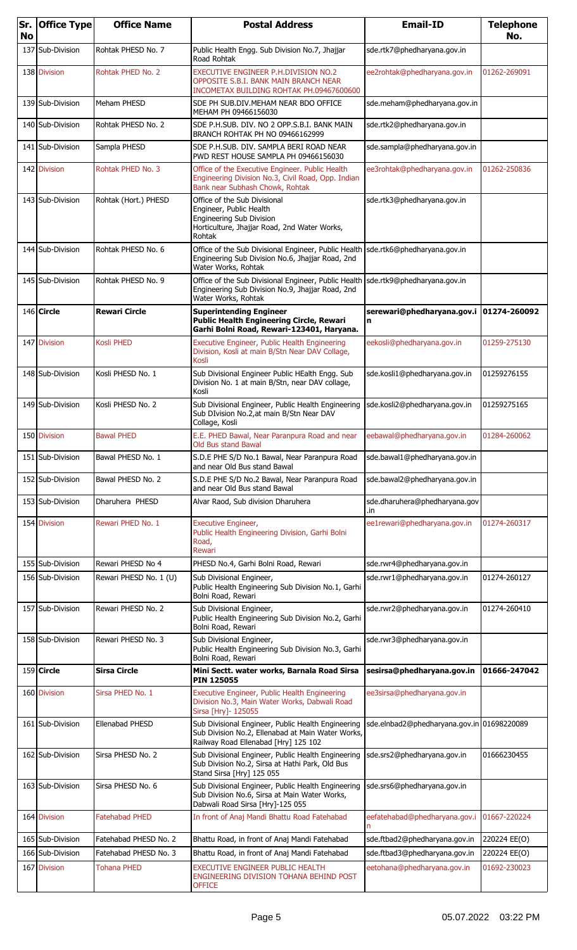| Sr.<br><b>No</b> | <b>Office Type</b> | <b>Office Name</b>     | <b>Postal Address</b>                                                                                                                                       | <b>Email-ID</b>                            | <b>Telephone</b><br>No. |
|------------------|--------------------|------------------------|-------------------------------------------------------------------------------------------------------------------------------------------------------------|--------------------------------------------|-------------------------|
|                  | 137 Sub-Division   | Rohtak PHESD No. 7     | Public Health Engg. Sub Division No.7, Jhajjar<br>Road Rohtak                                                                                               | sde.rtk7@phedharyana.gov.in                |                         |
|                  | 138 Division       | Rohtak PHED No. 2      | EXECUTIVE ENGINEER P.H.DIVISION NO.2<br>OPPOSITE S.B.I. BANK MAIN BRANCH NEAR<br>INCOMETAX BUILDING ROHTAK PH.09467600600                                   | ee2rohtak@phedharyana.gov.in               | 01262-269091            |
|                  | 139 Sub-Division   | Meham PHESD            | SDE PH SUB.DIV.MEHAM NEAR BDO OFFICE<br>MEHAM PH 09466156030                                                                                                | sde.meham@phedharyana.gov.in               |                         |
|                  | 140 Sub-Division   | Rohtak PHESD No. 2     | SDE P.H.SUB. DIV. NO 2 OPP.S.B.I. BANK MAIN<br>BRANCH ROHTAK PH NO 09466162999                                                                              | sde.rtk2@phedharyana.gov.in                |                         |
|                  | 141 Sub-Division   | Sampla PHESD           | SDE P.H.SUB. DIV. SAMPLA BERI ROAD NEAR<br>PWD REST HOUSE SAMPLA PH 09466156030                                                                             | sde.sampla@phedharyana.gov.in              |                         |
|                  | 142 Division       | Rohtak PHED No. 3      | Office of the Executive Engineer. Public Health<br>Engineering Division No.3, Civil Road, Opp. Indian<br>Bank near Subhash Chowk, Rohtak                    | ee3rohtak@phedharyana.gov.in               | 01262-250836            |
|                  | 143 Sub-Division   | Rohtak (Hort.) PHESD   | Office of the Sub Divisional<br>Engineer, Public Health<br>Engineering Sub Division<br>Horticulture, Jhajjar Road, 2nd Water Works,<br>Rohtak               | sde.rtk3@phedharyana.gov.in                |                         |
|                  | 144 Sub-Division   | Rohtak PHESD No. 6     | Office of the Sub Divisional Engineer, Public Health Sde.rtk6@phedharyana.gov.in<br>Engineering Sub Division No.6, Jhajjar Road, 2nd<br>Water Works, Rohtak |                                            |                         |
|                  | 145 Sub-Division   | Rohtak PHESD No. 9     | Office of the Sub Divisional Engineer, Public Health Sde.rtk9@phedharyana.gov.in<br>Engineering Sub Division No.9, Jhajjar Road, 2nd<br>Water Works, Rohtak |                                            |                         |
|                  | 146 Circle         | Rewari Circle          | <b>Superintending Engineer</b><br><b>Public Health Engineering Circle, Rewari</b><br>Garhi Bolni Road, Rewari-123401, Haryana.                              | serewari@phedharyana.gov.i<br>n            | 01274-260092            |
|                  | 147 Division       | Kosli PHED             | Executive Engineer, Public Health Engineering<br>Division, Kosli at main B/Stn Near DAV Collage,<br>Kosli                                                   | eekosli@phedharyana.gov.in                 | 01259-275130            |
|                  | 148 Sub-Division   | Kosli PHESD No. 1      | Sub Divisional Engineer Public HEalth Engg. Sub<br>Division No. 1 at main B/Stn, near DAV collage,<br>Kosli                                                 | sde.kosli1@phedharyana.gov.in              | 01259276155             |
|                  | 149 Sub-Division   | Kosli PHESD No. 2      | Sub Divisional Engineer, Public Health Engineering<br>Sub DIvision No.2, at main B/Stn Near DAV<br>Collage, Kosli                                           | sde.kosli2@phedharyana.gov.in              | 01259275165             |
|                  | 150 Division       | <b>Bawal PHED</b>      | E.E. PHED Bawal, Near Paranpura Road and near<br><b>Old Bus stand Bawal</b>                                                                                 | eebawal@phedharyana.gov.in                 | 01284-260062            |
|                  | 151 Sub-Division   | Bawal PHESD No. 1      | S.D.E PHE S/D No.1 Bawal, Near Paranpura Road<br>and near Old Bus stand Bawal                                                                               | sde.bawal1@phedharyana.gov.in              |                         |
|                  | 152 Sub-Division   | Bawal PHESD No. 2      | S.D.E PHE S/D No.2 Bawal, Near Paranpura Road<br>and near Old Bus stand Bawal                                                                               | sde.bawal2@phedharyana.gov.in              |                         |
|                  | 153 Sub-Division   | Dharuhera PHESD        | Alvar Raod, Sub division Dharuhera                                                                                                                          | sde.dharuhera@phedharyana.gov<br>.in       |                         |
|                  | 154 Division       | Rewari PHED No. 1      | Executive Engineer,<br>Public Health Engineering Division, Garhi Bolni<br>Road,<br>Rewari                                                                   | ee1rewari@phedharyana.gov.in               | 01274-260317            |
|                  | 155 Sub-Division   | Rewari PHESD No 4      | PHESD No.4, Garhi Bolni Road, Rewari                                                                                                                        | sde.rwr4@phedharyana.gov.in                |                         |
|                  | 156 Sub-Division   | Rewari PHESD No. 1 (U) | Sub Divisional Engineer,<br>Public Health Engineering Sub Division No.1, Garhi<br>Bolni Road, Rewari                                                        | sde.rwr1@phedharyana.gov.in                | 01274-260127            |
|                  | 157 Sub-Division   | Rewari PHESD No. 2     | Sub Divisional Engineer,<br>Public Health Engineering Sub Division No.2, Garhi<br>Bolni Road, Rewari                                                        | sde.rwr2@phedharyana.gov.in                | 01274-260410            |
|                  | 158 Sub-Division   | Rewari PHESD No. 3     | Sub Divisional Engineer,<br>Public Health Engineering Sub Division No.3, Garhi<br>Bolni Road, Rewari                                                        | sde.rwr3@phedharyana.gov.in                |                         |
|                  | $159$ Circle       | <b>Sirsa Circle</b>    | Mini Sectt. water works, Barnala Road Sirsa<br><b>PIN 125055</b>                                                                                            | sesirsa@phedharyana.gov.in                 | 01666-247042            |
|                  | 160 Division       | Sirsa PHED No. 1       | Executive Engineer, Public Health Engineering<br>Division No.3, Main Water Works, Dabwali Road<br>Sirsa [Hry]- 125055                                       | ee3sirsa@phedharyana.gov.in                |                         |
|                  | 161 Sub-Division   | Ellenabad PHESD        | Sub Divisional Engineer, Public Health Engineering<br>Sub Division No.2, Ellenabad at Main Water Works,<br>Railway Road Ellenabad [Hry] 125 102             | sde.elnbad2@phedharyana.gov.in 01698220089 |                         |
|                  | 162 Sub-Division   | Sirsa PHESD No. 2      | Sub Divisional Engineer, Public Health Engineering<br>Sub Division No.2, Sirsa at Hathi Park, Old Bus<br>Stand Sirsa [Hry] 125 055                          | sde.srs2@phedharyana.gov.in                | 01666230455             |
|                  | 163 Sub-Division   | Sirsa PHESD No. 6      | Sub Divisional Engineer, Public Health Engineering<br>Sub Division No.6, Sirsa at Main Water Works,<br>Dabwali Road Sirsa [Hry]-125 055                     | sde.srs6@phedharyana.gov.in                |                         |
|                  | 164 Division       | <b>Fatehabad PHED</b>  | In front of Anaj Mandi Bhattu Road Fatehabad                                                                                                                | eefatehabad@phedharyana.gov.i              | 01667-220224            |
|                  | 165 Sub-Division   | Fatehabad PHESD No. 2  | Bhattu Road, in front of Anaj Mandi Fatehabad                                                                                                               | sde.ftbad2@phedharyana.gov.in              | 220224 EE(O)            |
|                  | 166 Sub-Division   | Fatehabad PHESD No. 3  | Bhattu Road, in front of Anaj Mandi Fatehabad                                                                                                               | sde.ftbad3@phedharyana.gov.in              | 220224 EE(O)            |
|                  | 167 Division       | Tohana PHED            | EXECUTIVE ENGINEER PUBLIC HEALTH<br>ENGINEERING DIVISION TOHANA BEHIND POST<br><b>OFFICE</b>                                                                | eetohana@phedharyana.gov.in                | 01692-230023            |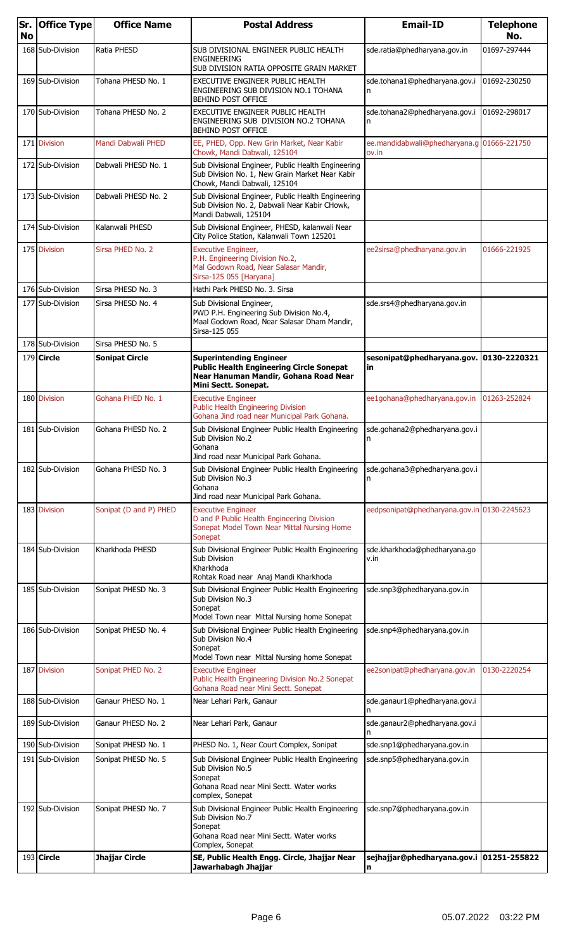| Sr.<br><b>No</b> | <b>Office Type</b> | <b>Office Name</b>     | <b>Postal Address</b>                                                                                                                              | <b>Email-ID</b>                                     | <b>Telephone</b><br>No. |
|------------------|--------------------|------------------------|----------------------------------------------------------------------------------------------------------------------------------------------------|-----------------------------------------------------|-------------------------|
|                  | 168 Sub-Division   | Ratia PHESD            | SUB DIVISIONAL ENGINEER PUBLIC HEALTH<br><b>ENGINEERING</b><br>SUB DIVISION RATIA OPPOSITE GRAIN MARKET                                            | sde.ratia@phedharyana.gov.in                        | 01697-297444            |
|                  | 169 Sub-Division   | Tohana PHESD No. 1     | EXECUTIVE ENGINEER PUBLIC HEALTH<br>ENGINEERING SUB DIVISION NO.1 TOHANA<br>BEHIND POST OFFICE                                                     | sde.tohana1@phedharyana.gov.i                       | 01692-230250            |
|                  | 170 Sub-Division   | Tohana PHESD No. 2     | EXECUTIVE ENGINEER PUBLIC HEALTH<br>ENGINEERING SUB DIVISION NO.2 TOHANA<br>BEHIND POST OFFICE                                                     | sde.tohana2@phedharyana.gov.i<br>n                  | 01692-298017            |
|                  | 171 Division       | Mandi Dabwali PHED     | EE, PHED, Opp. New Grin Market, Near Kabir<br>Chowk, Mandi Dabwali, 125104                                                                         | ee.mandidabwali@phedharyana.g 01666-221750<br>ov.in |                         |
|                  | 172 Sub-Division   | Dabwali PHESD No. 1    | Sub Divisional Engineer, Public Health Engineering<br>Sub Division No. 1, New Grain Market Near Kabir<br>Chowk, Mandi Dabwali, 125104              |                                                     |                         |
|                  | 173 Sub-Division   | Dabwali PHESD No. 2    | Sub Divisional Engineer, Public Health Engineering<br>Sub Division No. 2, Dabwali Near Kabir CHowk,<br>Mandi Dabwali, 125104                       |                                                     |                         |
|                  | 174 Sub-Division   | Kalanwali PHESD        | Sub Divisional Engineer, PHESD, kalanwali Near<br>City Police Station, Kalanwali Town 125201                                                       |                                                     |                         |
|                  | 175 Division       | Sirsa PHED No. 2       | <b>Executive Engineer,</b><br>P.H. Engineering Division No.2,<br>Mal Godown Road, Near Salasar Mandir,<br>Sirsa-125 055 [Haryana]                  | ee2sirsa@phedharyana.gov.in                         | 01666-221925            |
|                  | 176 Sub-Division   | Sirsa PHESD No. 3      | Hathi Park PHESD No. 3. Sirsa                                                                                                                      |                                                     |                         |
|                  | 177 Sub-Division   | Sirsa PHESD No. 4      | Sub Divisional Engineer,<br>PWD P.H. Engineering Sub Division No.4,<br>Maal Godown Road, Near Salasar Dham Mandir,<br>Sirsa-125 055                | sde.srs4@phedharyana.gov.in                         |                         |
|                  | 178 Sub-Division   | Sirsa PHESD No. 5      |                                                                                                                                                    |                                                     |                         |
|                  | 179 Circle         | <b>Sonipat Circle</b>  | <b>Superintending Engineer</b><br><b>Public Health Engineering Circle Sonepat</b><br>Near Hanuman Mandir, Gohana Road Near<br>Mini Sectt. Sonepat. | sesonipat@phedharyana.gov.<br>in                    | 0130-2220321            |
|                  | 180 Division       | Gohana PHED No. 1      | <b>Executive Engineer</b><br>Public Health Engineering Division<br>Gohana Jind road near Municipal Park Gohana.                                    | ee1gohana@phedharyana.gov.in                        | 01263-252824            |
|                  | 181 Sub-Division   | Gohana PHESD No. 2     | Sub Divisional Engineer Public Health Engineering<br>Sub Division No.2<br>Gohana<br>Jind road near Municipal Park Gohana.                          | sde.gohana2@phedharyana.gov.i<br>In.                |                         |
|                  | 182 Sub-Division   | Gohana PHESD No. 3     | Sub Divisional Engineer Public Health Engineering<br>Sub Division No.3<br>Gohana<br>Jind road near Municipal Park Gohana.                          | sde.gohana3@phedharyana.gov.i                       |                         |
|                  | 183 Division       | Sonipat (D and P) PHED | <b>Executive Engineer</b><br>D and P Public Health Engineering Division<br>Sonepat Model Town Near Mittal Nursing Home<br>Sonepat                  | eedpsonipat@phedharyana.gov.in 0130-2245623         |                         |
|                  | 184 Sub-Division   | Kharkhoda PHESD        | Sub Divisional Engineer Public Health Engineering<br>Sub Division<br>Kharkhoda<br>Rohtak Road near Anaj Mandi Kharkhoda                            | sde.kharkhoda@phedharyana.go<br>v.in                |                         |
|                  | 185 Sub-Division   | Sonipat PHESD No. 3    | Sub Divisional Engineer Public Health Engineering<br>Sub Division No.3<br>Sonepat<br>Model Town near Mittal Nursing home Sonepat                   | sde.snp3@phedharyana.gov.in                         |                         |
|                  | 186 Sub-Division   | Sonipat PHESD No. 4    | Sub Divisional Engineer Public Health Engineering<br>Sub Division No.4<br>Sonepat<br>Model Town near Mittal Nursing home Sonepat                   | sde.snp4@phedharyana.gov.in                         |                         |
|                  | 187 Division       | Sonipat PHED No. 2     | <b>Executive Engineer</b><br>Public Health Engineering Division No.2 Sonepat<br>Gohana Road near Mini Sectt. Sonepat                               | ee2sonipat@phedharyana.gov.in                       | 0130-2220254            |
|                  | 188 Sub-Division   | Ganaur PHESD No. 1     | Near Lehari Park, Ganaur                                                                                                                           | sde.ganaur1@phedharyana.gov.i<br>n                  |                         |
|                  | 189 Sub-Division   | Ganaur PHESD No. 2     | Near Lehari Park, Ganaur                                                                                                                           | sde.ganaur2@phedharyana.gov.i<br>n                  |                         |
|                  | 190 Sub-Division   | Sonipat PHESD No. 1    | PHESD No. 1, Near Court Complex, Sonipat                                                                                                           | sde.snp1@phedharyana.gov.in                         |                         |
|                  | 191 Sub-Division   | Sonipat PHESD No. 5    | Sub Divisional Engineer Public Health Engineering<br>Sub Division No.5<br>Sonepat<br>Gohana Road near Mini Sectt. Water works                      | sde.snp5@phedharyana.gov.in                         |                         |
|                  | 192 Sub-Division   | Sonipat PHESD No. 7    | complex, Sonepat<br>Sub Divisional Engineer Public Health Engineering<br>Sub Division No.7<br>Sonepat<br>Gohana Road near Mini Sectt. Water works  | sde.snp7@phedharyana.gov.in                         |                         |
|                  | 193 Circle         | Jhajjar Circle         | Complex, Sonepat<br>SE, Public Health Engg. Circle, Jhajjar Near<br> Jawarhabagh Jhajjar                                                           | sejhajjar@phedharyana.gov.i 01251-255822<br> n      |                         |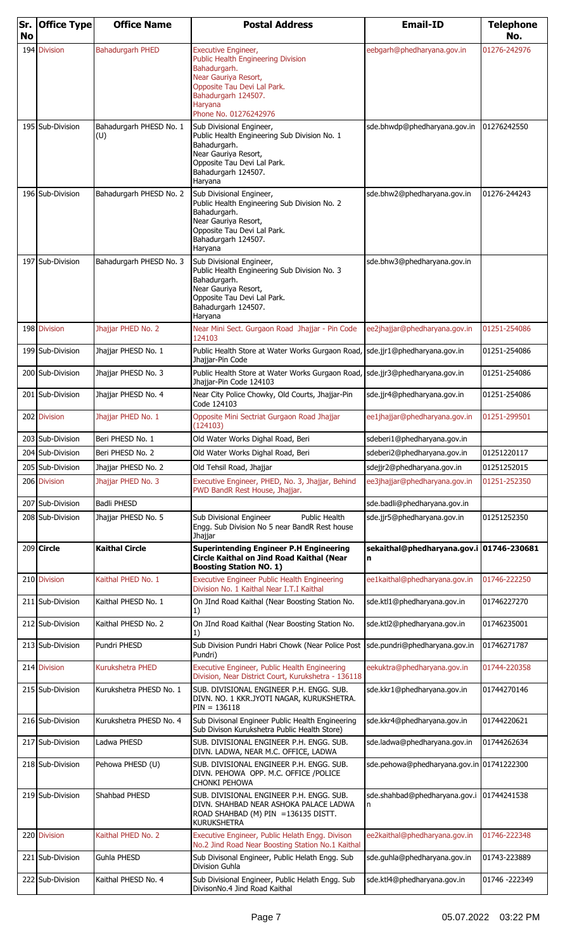| <b>No</b> | Sr. Office Type  | <b>Office Name</b>             | <b>Postal Address</b>                                                                                                                                                                              | <b>Email-ID</b>                               | <b>Telephone</b><br>No. |
|-----------|------------------|--------------------------------|----------------------------------------------------------------------------------------------------------------------------------------------------------------------------------------------------|-----------------------------------------------|-------------------------|
| 194       | <b>Division</b>  | <b>Bahadurgarh PHED</b>        | <b>Executive Engineer,</b><br>Public Health Engineering Division<br>Bahadurgarh.<br>Near Gauriya Resort,<br>Opposite Tau Devi Lal Park.<br>Bahadurgarh 124507.<br>Haryana<br>Phone No. 01276242976 | eebgarh@phedharyana.gov.in                    | 01276-242976            |
|           | 195 Sub-Division | Bahadurgarh PHESD No. 1<br>(U) | Sub Divisional Engineer,<br>Public Health Engineering Sub Division No. 1<br>Bahadurgarh.<br>Near Gauriya Resort,<br>Opposite Tau Devi Lal Park.<br>Bahadurgarh 124507.<br>Haryana                  | sde.bhwdp@phedharyana.gov.in                  | 01276242550             |
|           | 196 Sub-Division | Bahadurgarh PHESD No. 2        | Sub Divisional Engineer,<br>Public Health Engineering Sub Division No. 2<br>Bahadurgarh.<br>Near Gauriya Resort,<br>Opposite Tau Devi Lal Park.<br>Bahadurgarh 124507.<br>Haryana                  | sde.bhw2@phedharyana.gov.in                   | 01276-244243            |
|           | 197 Sub-Division | Bahadurgarh PHESD No. 3        | Sub Divisional Engineer,<br>Public Health Engineering Sub Division No. 3<br>Bahadurgarh.<br>Near Gauriya Resort,<br>Opposite Tau Devi Lal Park.<br>Bahadurgarh 124507.<br>Haryana                  | sde.bhw3@phedharyana.gov.in                   |                         |
|           | 198 Division     | Jhajjar PHED No. 2             | Near Mini Sect. Gurgaon Road Jhajjar - Pin Code<br>124103                                                                                                                                          | ee2jhajjar@phedharyana.gov.in                 | 01251-254086            |
|           | 199 Sub-Division | Jhajjar PHESD No. 1            | Public Health Store at Water Works Gurgaon Road, sde.jjr1@phedharyana.gov.in<br>Jhajjar-Pin Code                                                                                                   |                                               | 01251-254086            |
|           | 200 Sub-Division | Jhajjar PHESD No. 3            | Public Health Store at Water Works Gurgaon Road, Sde.jjr3@phedharyana.gov.in<br>Jhajjar-Pin Code 124103                                                                                            |                                               | 01251-254086            |
|           | 201 Sub-Division | Jhajjar PHESD No. 4            | Near City Police Chowky, Old Courts, Jhajjar-Pin<br>Code 124103                                                                                                                                    | sde.jjr4@phedharyana.gov.in                   | 01251-254086            |
| 202       | <b>Division</b>  | Jhajjar PHED No. 1             | Opposite Mini Sectriat Gurgaon Road Jhajjar<br>(124103)                                                                                                                                            | ee1jhajjar@phedharyana.gov.in                 | 01251-299501            |
|           | 203 Sub-Division | Beri PHESD No. 1               | Old Water Works Dighal Road, Beri                                                                                                                                                                  | sdeberi1@phedharyana.gov.in                   |                         |
|           | 204 Sub-Division | Beri PHESD No. 2               | Old Water Works Dighal Road, Beri                                                                                                                                                                  | sdeberi2@phedharyana.gov.in                   | 01251220117             |
| 205       | Sub-Division     | Jhajjar PHESD No. 2            | Old Tehsil Road, Jhajjar                                                                                                                                                                           | sdejjr2@phedharyana.gov.in                    | 01251252015             |
|           | 206 Division     | Jhaiiar PHED No. 3             | Executive Engineer, PHED, No. 3, Jhajjar, Behind<br>PWD BandR Rest House, Jhajjar.                                                                                                                 | ee3jhajjar@phedharyana.gov.in                 | 01251-252350            |
| 207       | Sub-Division     | <b>Badli PHESD</b>             |                                                                                                                                                                                                    | sde.badli@phedharyana.gov.in                  |                         |
|           | 208 Sub-Division | Jhajjar PHESD No. 5            | Sub Divisional Engineer<br><b>Public Health</b><br>Engg. Sub Division No 5 near BandR Rest house<br>Jhajjar                                                                                        | sde.jjr5@phedharyana.gov.in                   | 01251252350             |
|           | $209$ Circle     | Kaithal Circle                 | <b>Superintending Engineer P.H Engineering</b><br>Circle Kaithal on Jind Road Kaithal (Near<br><b>Boosting Station NO. 1)</b>                                                                      | sekaithal@phedharyana.gov.i 01746-230681<br>n |                         |
|           | 210 Division     | Kaithal PHED No. 1             | <b>Executive Engineer Public Health Engineering</b><br>Division No. 1 Kaithal Near I.T.I Kaithal                                                                                                   | ee1kaithal@phedharyana.gov.in                 | 01746-222250            |
|           | 211 Sub-Division | Kaithal PHESD No. 1            | On JInd Road Kaithal (Near Boosting Station No.<br>1)                                                                                                                                              | sde.ktl1@phedharyana.gov.in                   | 01746227270             |
|           | 212 Sub-Division | Kaithal PHESD No. 2            | On JInd Road Kaithal (Near Boosting Station No.<br>1)                                                                                                                                              | sde.ktl2@phedharyana.gov.in                   | 01746235001             |
|           | 213 Sub-Division | Pundri PHESD                   | Sub Division Pundri Habri Chowk (Near Police Post Sde.pundri@phedharyana.gov.in<br>Pundri)                                                                                                         |                                               | 01746271787             |
|           | 214 Division     | Kurukshetra PHED               | Executive Engineer, Public Health Engineering<br>Division, Near District Court, Kurukshetra - 136118                                                                                               | eekuktra@phedharyana.gov.in                   | 01744-220358            |
|           | 215 Sub-Division | Kurukshetra PHESD No. 1        | SUB, DIVISIONAL ENGINEER P.H. ENGG, SUB.<br>DIVN. NO. 1 KKR.JYOTI NAGAR, KURUKSHETRA.<br>$PIN = 136118$                                                                                            | sde.kkr1@phedharyana.gov.in                   | 01744270146             |
|           | 216 Sub-Division | Kurukshetra PHESD No. 4        | Sub Divisonal Engineer Public Health Engineering<br>Sub Divison Kurukshetra Public Health Store)                                                                                                   | sde.kkr4@phedharyana.gov.in                   | 01744220621             |
|           | 217 Sub-Division | Ladwa PHESD                    | SUB. DIVISIONAL ENGINEER P.H. ENGG. SUB.<br>DIVN. LADWA, NEAR M.C. OFFICE, LADWA                                                                                                                   | sde.ladwa@phedharyana.gov.in                  | 01744262634             |
|           | 218 Sub-Division | Pehowa PHESD (U)               | SUB. DIVISIONAL ENGINEER P.H. ENGG. SUB.<br>DIVN. PEHOWA OPP. M.C. OFFICE / POLICE<br>CHONKI PEHOWA                                                                                                | sde.pehowa@phedharyana.gov.in 01741222300     |                         |
|           | 219 Sub-Division | Shahbad PHESD                  | SUB. DIVISIONAL ENGINEER P.H. ENGG. SUB.<br>DIVN. SHAHBAD NEAR ASHOKA PALACE LADWA<br>ROAD SHAHBAD (M) PIN = 136135 DISTT.<br>KURUKSHETRA                                                          | sde.shahbad@phedharyana.gov.i<br>ln.          | 01744241538             |
|           | 220 Division     | Kaithal PHED No. 2             | Executive Engineer, Public Helath Engg. Divison<br>No.2 Jind Road Near Boosting Station No.1 Kaithal                                                                                               | ee2kaithal@phedharyana.gov.in                 | 01746-222348            |
|           | 221 Sub-Division | Guhla PHESD                    | Sub Divisonal Engineer, Public Helath Engg. Sub<br>Division Guhla                                                                                                                                  | sde.guhla@phedharyana.gov.in                  | 01743-223889            |
|           | 222 Sub-Division | Kaithal PHESD No. 4            | Sub Divisional Engineer, Public Helath Engg. Sub<br>DivisonNo.4 Jind Road Kaithal                                                                                                                  | sde.ktl4@phedharyana.gov.in                   | 01746 -222349           |